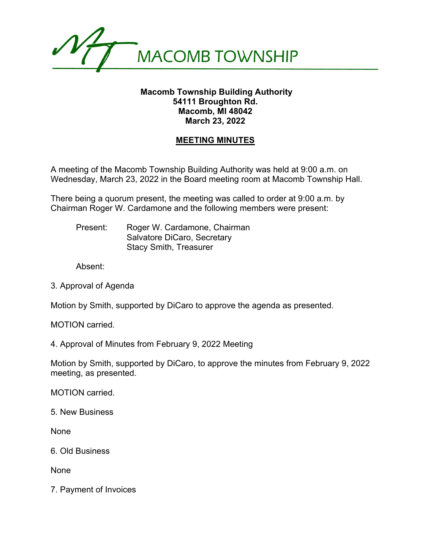

## **Macomb Township Building Authority 54111 Broughton Rd. Macomb, MI 48042 March 23, 2022**

## **MEETING MINUTES**

A meeting of the Macomb Township Building Authority was held at 9:00 a.m. on Wednesday, March 23, 2022 in the Board meeting room at Macomb Township Hall.

There being a quorum present, the meeting was called to order at 9:00 a.m. by Chairman Roger W. Cardamone and the following members were present:

Present: Roger W. Cardamone, Chairman Salvatore DiCaro, Secretary Stacy Smith, Treasurer

Absent:

3. Approval of Agenda

Motion by Smith, supported by DiCaro to approve the agenda as presented.

MOTION carried.

4. Approval of Minutes from February 9, 2022 Meeting

Motion by Smith, supported by DiCaro, to approve the minutes from February 9, 2022 meeting, as presented.

MOTION carried.

5. New Business

None

6. Old Business

None

7. Payment of Invoices